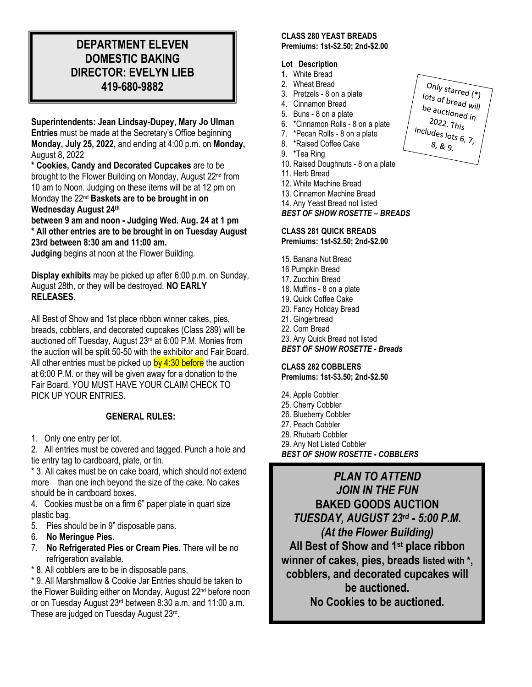# **DEPARTMENT ELEVEN DOMESTIC BAKING DIRECTOR: EVELYN LIEB 419-680-9882**

**Superintendents: Jean Lindsay-Dupey, Mary Jo Ulman Entries** must be made at the Secretary's Office beginning **Monday, July 25, 2022,** and ending at 4:00 p.m. on **Monday,** August 8, 2022

**\* Cookies, Candy and Decorated Cupcakes** are to be brought to the Flower Building on Monday, August 22<sup>nd</sup> from 10 am to Noon. Judging on these items will be at 12 pm on Monday the 22 nd **Baskets are to be brought in on Wednesday August 24 th**

**between 9 am and noon - Judging Wed. Aug. 24 at 1 pm \* All other entries are to be brought in on Tuesday August 23rd between 8:30 am and 11:00 am.**

**Judging** begins at noon at the Flower Building.

**Display exhibits** may be picked up after 6:00 p.m. on Sunday, August 28th, or they will be destroyed. **NO EARLY RELEASES**.

All Best of Show and 1st place ribbon winner cakes, pies, breads, cobblers, and decorated cupcakes (Class 289) will be auctioned off Tuesday, August 23<sup>rd</sup> at 6:00 P.M. Monies from the auction will be split 50-50 with the exhibitor and Fair Board. All other entries must be picked up by  $4:30$  before the auction at 6:00 P.M. or they will be given away for a donation to the Fair Board. YOU MUST HAVE YOUR CLAIM CHECK TO PICK UP YOUR ENTRIES.

# **GENERAL RULES:**

1. Only one entry per lot.

2. All entries must be covered and tagged. Punch a hole and tie entry tag to cardboard, plate, or tin.

\* 3. All cakes must be on cake board, which should not extend more than one inch beyond the size of the cake. No cakes should be in cardboard boxes.

4. Cookies must be on a firm 6" paper plate in quart size plastic bag.

- 5. Pies should be in 9" disposable pans.
- 6. **No Meringue Pies.**
- 7. **No Refrigerated Pies or Cream Pies.** There will be no refrigeration available.
- \* 8. All cobblers are to be in disposable pans.

\* 9. All Marshmallow & Cookie Jar Entries should be taken to the Flower Building either on Monday, August 22<sup>nd</sup> before noon or on Tuesday August 23<sup>rd</sup> between 8:30 a.m. and 11:00 a.m. These are judged on Tuesday August 23rd.

#### **CLASS 280 YEAST BREADS Premiums: 1st-\$2.50; 2nd-\$2.00**

#### **Lot Description**

- **1.** White Bread
- 2. Wheat Bread
- 3. Pretzels 8 on a plate
- 4. Cinnamon Bread
- 5. Buns 8 on a plate
- 6. \*Cinnamon Rolls 8 on a plate
- 7. \*Pecan Rolls 8 on a plate
- 8. \*Raised Coffee Cake
- 9. \*Tea Ring
- 10. Raised Doughnuts 8 on a plate
- 11. Herb Bread
- 12. White Machine Bread
- 13. Cinnamon Machine Bread
- 14. Any Yeast Bread not listed

#### *BEST OF SHOW ROSETTE – BREADS*

## **CLASS 281 QUICK BREADS Premiums: 1st-\$2.50; 2nd-\$2.00**

- 15. Banana Nut Bread
- 16 Pumpkin Bread
- 17. Zucchini Bread
- 18. Muffins 8 on a plate
- 19. Quick Coffee Cake
- 20. Fancy Holiday Bread
- 21. Gingerbread
- 22. Corn Bread
- 23. Any Quick Bread not listed
- *BEST OF SHOW ROSETTE - Breads*

#### **CLASS 282 COBBLERS**

**Premiums: 1st-\$3.50; 2nd-\$2.50**

- 24. Apple Cobbler
- 25. Cherry Cobbler
- 26. Blueberry Cobbler
- 27. Peach Cobbler
- 28. Rhubarb Cobbler

29. Any Not Listed Cobbler *BEST OF SHOW ROSETTE - COBBLERS*

*PLAN TO ATTEND JOIN IN THE FUN* **BAKED GOODS AUCTION** *TUESDAY, AUGUST 23rd - 5:00 P.M. (At the Flower Building)* **All Best of Show and 1st place ribbon winner of cakes, pies, breads listed with \*, cobblers, and decorated cupcakes will be auctioned. No Cookies to be auctioned.**

Only starred  $(*)$  $\frac{1}{10}$  ots of bread will<br>be auction be auctioned will<br>2022 - $^{2022.}$  This includes lots 6, 7,  $8, 8, 9$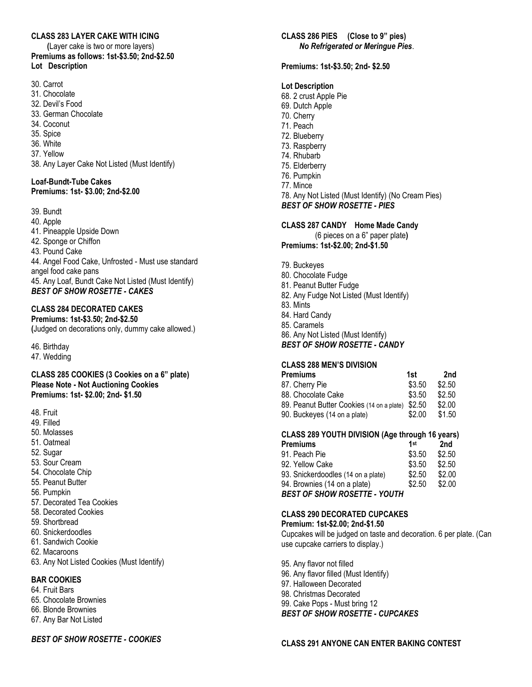## **CLASS 283 LAYER CAKE WITH ICING**

 **(**Layer cake is two or more layers) **Premiums as follows: 1st-\$3.50; 2nd-\$2.50 Lot Description**

- 30. Carrot
- 31. Chocolate
- 32. Devil's Food
- 33. German Chocolate
- 34. Coconut
- 35. Spice
- 36. White
- 37. Yellow
- 38. Any Layer Cake Not Listed (Must Identify)

#### **Loaf-Bundt-Tube Cakes Premiums: 1st- \$3.00; 2nd-\$2.00**

39. Bundt

40. Apple 41. Pineapple Upside Down 42. Sponge or Chiffon 43. Pound Cake 44. Angel Food Cake, Unfrosted - Must use standard angel food cake pans 45. Any Loaf, Bundt Cake Not Listed (Must Identify) *BEST OF SHOW ROSETTE - CAKES*

#### **CLASS 284 DECORATED CAKES**

**Premiums: 1st-\$3.50; 2nd-\$2.50 (**Judged on decorations only, dummy cake allowed.)

46. Birthday

47. Wedding

**CLASS 285 COOKIES (3 Cookies on a 6" plate) Please Note - Not Auctioning Cookies Premiums: 1st- \$2.00; 2nd- \$1.50**

- 48. Fruit
- 49. Filled
- 50. Molasses
- 51. Oatmeal
- 52. Sugar
- 53. Sour Cream
- 54. Chocolate Chip
- 55. Peanut Butter
- 56. Pumpkin
- 57. Decorated Tea Cookies
- 58. Decorated Cookies
- 59. Shortbread
- 60. Snickerdoodles
- 61. Sandwich Cookie
- 62. Macaroons
- 63. Any Not Listed Cookies (Must Identify)

## **BAR COOKIES**

- 64. Fruit Bars
- 65. Chocolate Brownies
- 66. Blonde Brownies
- 67. Any Bar Not Listed

*BEST OF SHOW ROSETTE - COOKIES*

# **CLASS 286 PIES (Close to 9" pies)**  *No Refrigerated or Meringue Pies*.

**Premiums: 1st-\$3.50; 2nd- \$2.50**

## **Lot Description**

- 68. 2 crust Apple Pie
- 69. Dutch Apple
- 70. Cherry
- 71. Peach
- 72. Blueberry
- 73. Raspberry
- 74. Rhubarb
- 75. Elderberry
- 76. Pumpkin
- 77. Mince
- 78. Any Not Listed (Must Identify) (No Cream Pies)

*BEST OF SHOW ROSETTE - PIES*

#### **CLASS 287 CANDY Home Made Candy**

(6 pieces on a 6" paper plate**) Premiums: 1st-\$2.00; 2nd-\$1.50**

- 79. Buckeyes
- 80. Chocolate Fudge
- 81. Peanut Butter Fudge
- 82. Any Fudge Not Listed (Must Identify)
- 83. Mints
- 84. Hard Candy
- 85. Caramels
- 86. Any Not Listed (Must Identify)
- *BEST OF SHOW ROSETTE - CANDY*

#### **CLASS 288 MEN'S DIVISION**

| Premiums                                         | 1st    | 2nd    |
|--------------------------------------------------|--------|--------|
| 87. Cherry Pie                                   | \$3.50 | \$2.50 |
| 88. Chocolate Cake                               | \$3.50 | \$2.50 |
| 89. Peanut Butter Cookies (14 on a plate) \$2.50 |        | \$2.00 |
| 90. Buckeyes (14 on a plate)                     | \$2.00 | \$1.50 |

# **CLASS 289 YOUTH DIVISION (Age through 16 years)**

| Premiums                            | 1st    | 2nd    |
|-------------------------------------|--------|--------|
| 91. Peach Pie                       | \$3.50 | \$2.50 |
| 92. Yellow Cake                     | \$3.50 | \$2.50 |
| 93. Snickerdoodles (14 on a plate)  | \$2.50 | \$2.00 |
| 94. Brownies (14 on a plate)        | \$2.50 | \$2.00 |
| <b>BEST OF SHOW ROSETTE - YOUTH</b> |        |        |
|                                     |        |        |

#### **CLASS 290 DECORATED CUPCAKES**

**Premium: 1st-\$2.00; 2nd-\$1.50** Cupcakes will be judged on taste and decoration. 6 per plate. (Can use cupcake carriers to display.)

95. Any flavor not filled 96. Any flavor filled (Must Identify) 97. Halloween Decorated 98. Christmas Decorated 99. Cake Pops - Must bring 12 *BEST OF SHOW ROSETTE - CUPCAKES*

#### **CLASS 291 ANYONE CAN ENTER BAKING CONTEST**